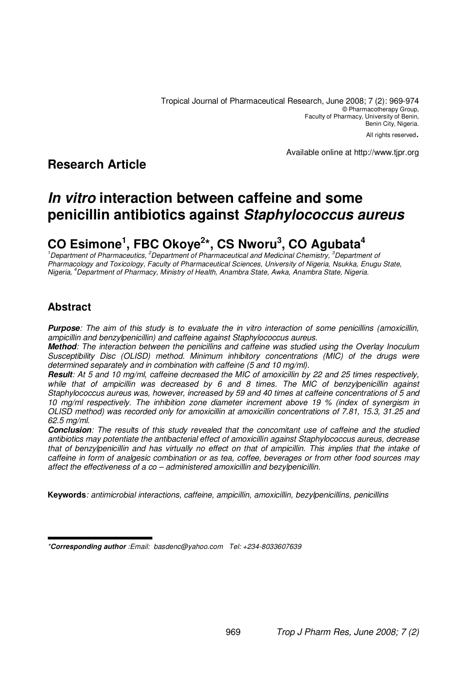Tropical Journal of Pharmaceutical Research, June 2008; 7 (2): 969-974 © Pharmacotherapy Group, Faculty of Pharmacy, University of Benin, Benin City, Nigeria.

All rights reserved.

**Research Article**

Available online at http://www.tjpr.org

# **In vitro interaction between caffeine and some penicillin antibiotics against Staphylococcus aureus**

# **CO Esimone<sup>1</sup> , FBC Okoye<sup>2</sup> \*, CS Nworu<sup>3</sup> , CO Agubata<sup>4</sup>**

<sup>1</sup>Department of Pharmaceutics, <sup>2</sup>Department of Pharmaceutical and Medicinal Chemistry, <sup>3</sup>Department of Pharmacology and Toxicology, Faculty of Pharmaceutical Sciences, University of Nigeria, Nsukka, Enugu State, Nigeria, <sup>4</sup>Department of Pharmacy, Ministry of Health, Anambra State, Awka, Anambra State, Nigeria.

# **Abstract**

**Purpose**: The aim of this study is to evaluate the in vitro interaction of some penicillins (amoxicillin, ampicillin and benzylpenicillin) and caffeine against Staphylococcus aureus.

**Method**: The interaction between the penicillins and caffeine was studied using the Overlay Inoculum Susceptibility Disc (OLISD) method. Minimum inhibitory concentrations (MIC) of the drugs were determined separately and in combination with caffeine (5 and 10 mg/ml).

**Result**: At 5 and 10 mg/ml, caffeine decreased the MIC of amoxicillin by 22 and 25 times respectively, while that of ampicillin was decreased by 6 and 8 times. The MIC of benzylpenicillin against Staphylococcus aureus was, however, increased by 59 and 40 times at caffeine concentrations of 5 and 10 mg/ml respectively. The inhibition zone diameter increment above 19 % (index of synergism in OLISD method) was recorded only for amoxicillin at amoxicillin concentrations of 7.81, 15.3, 31.25 and 62.5 mg/ml.

**Conclusion**: The results of this study revealed that the concomitant use of caffeine and the studied antibiotics may potentiate the antibacterial effect of amoxicillin against Staphylococcus aureus, decrease that of benzylpenicillin and has virtually no effect on that of ampicillin. This implies that the intake of caffeine in form of analgesic combination or as tea, coffee, beverages or from other food sources may affect the effectiveness of a co – administered amoxicillin and bezylpenicillin.

**Keywords**: antimicrobial interactions, caffeine, ampicillin, amoxicillin, bezylpenicillins, penicillins

<sup>\*</sup>**Corresponding author** :Email: basdenc@yahoo.com Tel: +234-8033607639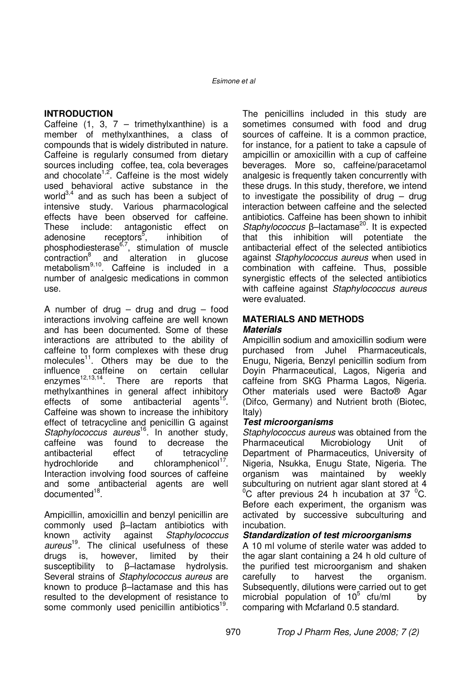### **INTRODUCTION**

Caffeine  $(1, 3, 7 -$  trimethylxanthine) is a member of methylxanthines, a class of compounds that is widely distributed in nature. Caffeine is regularly consumed from dietary sources including coffee, tea, cola beverages and chocolate<sup>1,2</sup>. Caffeine is the most widely used behavioral active substance in the world $3,4$  and as such has been a subject of intensive study. Various pharmacological effects have been observed for caffeine. These include: antagonistic effect on adenosine receptors<sup>3</sup>, inhibition of phosphodiesterase<sup>6,7</sup>, stimulation of muscle contraction<sup>8</sup> and alteration in glucose contraction<sup>8</sup> alteration in glucose metabolism<sup>9,10</sup>. Caffeine is included in a number of analgesic medications in common use.

A number of drug – drug and drug – food interactions involving caffeine are well known and has been documented. Some of these interactions are attributed to the ability of caffeine to form complexes with these drug molecules<sup>11</sup>. Others may be due to the influence caffeine on certain cellular influence caffeine on certain cellular  $\frac{12,13,14}{2}$ . There are reports that methylxanthines in general affect inhibitory effects of some antibacterial agents<sup>15</sup>. Caffeine was shown to increase the inhibitory effect of tetracycline and penicillin G against Staphylococcus aureus<sup>16</sup>. In another study, caffeine was found to decrease the antibacterial effect of tetracycline hydrochloride and chloramphenicol<sup>17</sup>. Interaction involving food sources of caffeine and some antibacterial agents are well documented<sup>18</sup>.

Ampicillin, amoxicillin and benzyl penicillin are commonly used β–lactam antibiotics with known activity against Staphylococcus aureus<sup>19</sup>. The clinical usefulness of these drugs is, however, limited by their susceptibility to β–lactamase hydrolysis. Several strains of Staphylococcus aureus are known to produce β–lactamase and this has resulted to the development of resistance to some commonly used penicillin antibiotics<sup>19</sup>.

The penicillins included in this study are sometimes consumed with food and drug sources of caffeine. It is a common practice, for instance, for a patient to take a capsule of ampicillin or amoxicillin with a cup of caffeine beverages. More so, caffeine/paracetamol analgesic is frequently taken concurrently with these drugs. In this study, therefore, we intend to investigate the possibility of drug  $-$  drug interaction between caffeine and the selected antibiotics. Caffeine has been shown to inhibit Staphylococcus β–lactamase<sup>20</sup>. It is expected that this inhibition will potentiate the antibacterial effect of the selected antibiotics against Staphylococcus aureus when used in combination with caffeine. Thus, possible synergistic effects of the selected antibiotics with caffeine against Staphylococcus aureus were evaluated.

#### **MATERIALS AND METHODS Materials**

Ampicillin sodium and amoxicillin sodium were purchased from Juhel Pharmaceuticals, Enugu, Nigeria, Benzyl penicillin sodium from Doyin Pharmaceutical, Lagos, Nigeria and caffeine from SKG Pharma Lagos, Nigeria. Other materials used were Bacto® Agar (Difco, Germany) and Nutrient broth (Biotec, Italy)

### **Test microorganisms**

Staphylococcus aureus was obtained from the Pharmaceutical Microbiology Unit of Department of Pharmaceutics, University of Nigeria, Nsukka, Enugu State, Nigeria. The organism was maintained by subculturing on nutrient agar slant stored at 4  $\mathrm{^{0}C}$  after previous 24 h incubation at 37  $\mathrm{^{0}C}$ . Before each experiment, the organism was activated by successive subculturing and incubation.

### **Standardization of test microorganisms**

A 10 ml volume of sterile water was added to the agar slant containing a 24 h old culture of the purified test microorganism and shaken carefully to harvest the organism. Subsequently, dilutions were carried out to get microbial population of  $10^5$  cfu/ml by comparing with Mcfarland 0.5 standard.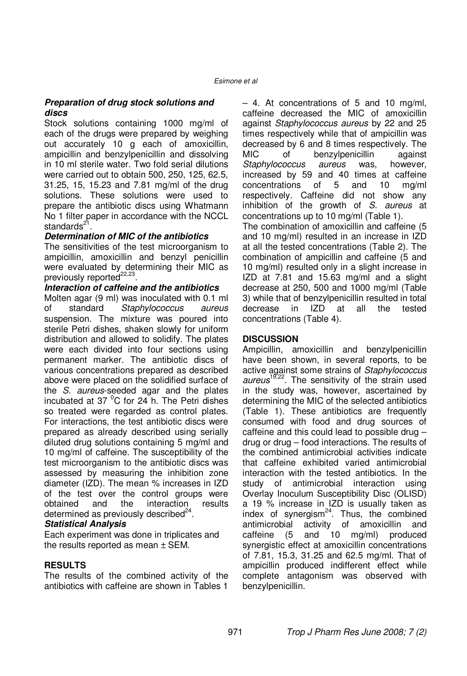### **Preparation of drug stock solutions and discs**

Stock solutions containing 1000 mg/ml of each of the drugs were prepared by weighing out accurately 10 g each of amoxicillin, ampicillin and benzylpenicillin and dissolving in 10 ml sterile water. Two fold serial dilutions were carried out to obtain 500, 250, 125, 62.5, 31.25, 15, 15.23 and 7.81 mg/ml of the drug solutions. These solutions were used to prepare the antibiotic discs using Whatmann No 1 filter paper in accordance with the NCCL standards<sup>2</sup> .

### **Determination of MIC of the antibiotics**

The sensitivities of the test microorganism to ampicillin, amoxicillin and benzyl penicillin were evaluated by determining their MIC as previously reported<sup>22,23</sup> .

#### **Interaction of caffeine and the antibiotics**

Molten agar (9 ml) was inoculated with 0.1 ml of standard Staphylococcus aureus suspension. The mixture was poured into sterile Petri dishes, shaken slowly for uniform distribution and allowed to solidify. The plates were each divided into four sections using permanent marker. The antibiotic discs of various concentrations prepared as described above were placed on the solidified surface of the S. aureus-seeded agar and the plates incubated at 37 $\mathrm{^0C}$  for 24 h. The Petri dishes so treated were regarded as control plates. For interactions, the test antibiotic discs were prepared as already described using serially diluted drug solutions containing 5 mg/ml and 10 mg/ml of caffeine. The susceptibility of the test microorganism to the antibiotic discs was assessed by measuring the inhibition zone diameter (IZD). The mean % increases in IZD of the test over the control groups were obtained and the interaction results determined as previously described $^{24}$ .

### **Statistical Analysis**

Each experiment was done in triplicates and the results reported as mean ± SEM.

### **RESULTS**

The results of the combined activity of the antibiotics with caffeine are shown in Tables 1

– 4. At concentrations of 5 and 10 mg/ml, caffeine decreased the MIC of amoxicillin against Staphylococcus aureus by 22 and 25 times respectively while that of ampicillin was decreased by 6 and 8 times respectively. The MIC of benzylpenicillin against Staphylococcus aureus was, however, increased by 59 and 40 times at caffeine concentrations of 5 and 10 mg/ml respectively. Caffeine did not show any inhibition of the growth of S. aureus at concentrations up to 10 mg/ml (Table 1).

The combination of amoxicillin and caffeine (5 and 10 mg/ml) resulted in an increase in IZD at all the tested concentrations (Table 2). The combination of ampicillin and caffeine (5 and 10 mg/ml) resulted only in a slight increase in IZD at 7.81 and 15.63 mg/ml and a slight decrease at 250, 500 and 1000 mg/ml (Table 3) while that of benzylpenicillin resulted in total decrease in IZD at all the tested concentrations (Table 4).

### **DISCUSSION**

Ampicillin, amoxicillin and benzylpenicillin have been shown, in several reports, to be active against some strains of Staphylococcus aureus<sup>19,22</sup>. The sensitivity of the strain used in the study was, however, ascertained by determining the MIC of the selected antibiotics (Table 1). These antibiotics are frequently consumed with food and drug sources of caffeine and this could lead to possible drug – drug or drug – food interactions. The results of the combined antimicrobial activities indicate that caffeine exhibited varied antimicrobial interaction with the tested antibiotics. In the study of antimicrobial interaction using Overlay Inoculum Susceptibility Disc (OLISD) a 19 % increase in IZD is usually taken as index of synergism $^{24}$ . Thus, the combined antimicrobial activity of amoxicillin and caffeine (5 and 10 mg/ml) produced synergistic effect at amoxicillin concentrations of 7.81, 15.3, 31.25 and 62.5 mg/ml. That of ampicillin produced indifferent effect while complete antagonism was observed with benzylpenicillin.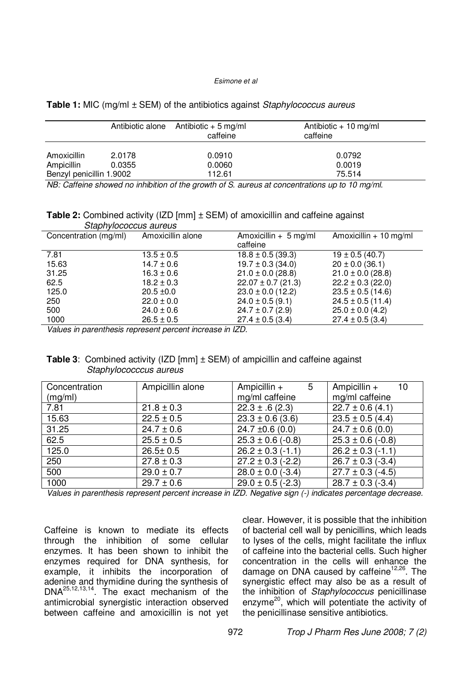#### Esimone et al

|  | Table 1: MIC (mg/ml ± SEM) of the antibiotics against Staphylococcus aureus |  |
|--|-----------------------------------------------------------------------------|--|
|--|-----------------------------------------------------------------------------|--|

|                          |                    | Antibiotic alone Antibiotic $+5$ mg/ml<br>caffeine | Antibiotic + 10 mg/ml<br>caffeine        |
|--------------------------|--------------------|----------------------------------------------------|------------------------------------------|
| Amoxicillin              | 2.0178             | 0.0910                                             | 0.0792                                   |
| Ampicillin               | 0.0355             | 0.0060                                             | 0.0019                                   |
| Benzyl penicillin 1.9002 |                    | 112.61                                             | 75.514                                   |
| $\cdots$ $\cdots$        | .<br>$\sim$ $\sim$ | $\cdot\cdot\cdot$<br>$\cdots$                      | $\cdot$ $\cdot$ $\cdot$<br>$\sim$ $\sim$ |

NB: Caffeine showed no inhibition of the growth of S. aureus at concentrations up to 10 mg/ml.

**Table 2:** Combined activity (IZD [mm] ± SEM) of amoxicillin and caffeine against Staphylococcus aureus

| Concentration (mg/ml) | Amoxicillin alone                                           | Amoxicillin $+ 5$ mg/ml<br>caffeine | Amoxicillin $+10$ mg/ml |
|-----------------------|-------------------------------------------------------------|-------------------------------------|-------------------------|
|                       |                                                             |                                     |                         |
| 7.81                  | $13.5 \pm 0.5$                                              | $18.8 \pm 0.5$ (39.3)               | $19 \pm 0.5$ (40.7)     |
| 15.63                 | $14.7 \pm 0.6$                                              | $19.7 \pm 0.3$ (34.0)               | $20 \pm 0.0$ (36.1)     |
| 31.25                 | $16.3 \pm 0.6$                                              | $21.0 \pm 0.0$ (28.8)               | $21.0 \pm 0.0$ (28.8)   |
| 62.5                  | $18.2 \pm 0.3$                                              | $22.07 \pm 0.7$ (21.3)              | $22.2 \pm 0.3$ (22.0)   |
| 125.0                 | $20.5 \pm 0.0$                                              | $23.0 \pm 0.0$ (12.2)               | $23.5 \pm 0.5$ (14.6)   |
| 250                   | $22.0 \pm 0.0$                                              | $24.0 \pm 0.5$ (9.1)                | $24.5 \pm 0.5$ (11.4)   |
| 500                   | $24.0 \pm 0.6$                                              | $24.7 \pm 0.7$ (2.9)                | $25.0 \pm 0.0$ (4.2)    |
| 1000                  | $26.5 \pm 0.5$                                              | $27.4 \pm 0.5$ (3.4)                | $27.4 \pm 0.5$ (3.4)    |
|                       | Making to properthesels proposed property large service 17D |                                     |                         |

Values in parenthesis represent percent increase in IZD.

#### **Table 3**: Combined activity (IZD [mm] ± SEM) of ampicillin and caffeine against Staphylococccus aureus

| Concentration | Ampicillin alone | Ampicillin $+$<br>5   | Ampicillin $+$<br>10  |
|---------------|------------------|-----------------------|-----------------------|
| (mg/ml)       |                  | mg/ml caffeine        | mg/ml caffeine        |
| 7.81          | $21.8 \pm 0.3$   | $22.3 \pm .6(2.3)$    | $22.7 \pm 0.6(4.1)$   |
| 15.63         | $22.5 \pm 0.5$   | $23.3 \pm 0.6$ (3.6)  | $23.5 \pm 0.5$ (4.4)  |
| 31.25         | $24.7 \pm 0.6$   | 24.7 $\pm$ 0.6 (0.0)  | $24.7 \pm 0.6(0.0)$   |
| 62.5          | $25.5 \pm 0.5$   | $25.3 \pm 0.6$ (-0.8) | $25.3 \pm 0.6$ (-0.8) |
| 125.0         | $26.5 \pm 0.5$   | $26.2 \pm 0.3$ (-1.1) | $26.2 \pm 0.3$ (-1.1) |
| 250           | $27.8 \pm 0.3$   | $27.2 \pm 0.3$ (-2.2) | $26.7 \pm 0.3$ (-3.4) |
| 500           | $29.0 \pm 0.7$   | $28.0 \pm 0.0$ (-3.4) | $27.7 \pm 0.3$ (-4.5) |
| 1000          | $29.7 \pm 0.6$   | $29.0 \pm 0.5$ (-2.3) | $28.7 \pm 0.3$ (-3.4) |

Values in parenthesis represent percent increase in IZD. Negative sign (-) indicates percentage decrease.

Caffeine is known to mediate its effects through the inhibition of some cellular enzymes. It has been shown to inhibit the enzymes required for DNA synthesis, for example, it inhibits the incorporation of adenine and thymidine during the synthesis of DNA25,12,13,14. The exact mechanism of the antimicrobial synergistic interaction observed between caffeine and amoxicillin is not yet clear. However, it is possible that the inhibition of bacterial cell wall by penicillins, which leads to lyses of the cells, might facilitate the influx of caffeine into the bacterial cells. Such higher concentration in the cells will enhance the damage on DNA caused by caffeine $12,26$ . The synergistic effect may also be as a result of the inhibition of Staphylococcus penicillinase enzyme<sup>20</sup>, which will potentiate the activity of the penicillinase sensitive antibiotics.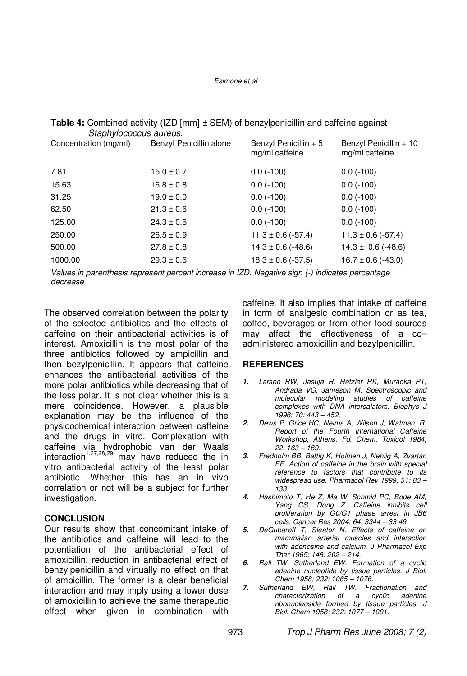#### Esimone et al

| Staphylococcus aureus. |                         |                                         |                                          |
|------------------------|-------------------------|-----------------------------------------|------------------------------------------|
| Concentration (mg/ml)  | Benzyl Penicillin alone | Benzyl Penicillin + 5<br>mg/ml caffeine | Benzyl Penicillin + 10<br>mg/ml caffeine |
| 7.81                   | $15.0 \pm 0.7$          | $0.0$ (-100)                            | $0.0$ (-100)                             |
| 15.63                  | $16.8 \pm 0.8$          | $0.0$ (-100)                            | $0.0$ (-100)                             |
| 31.25                  | $19.0 \pm 0.0$          | $0.0$ (-100)                            | $0.0$ (-100)                             |
| 62.50                  | $21.3 \pm 0.6$          | $0.0$ (-100)                            | $0.0$ (-100)                             |
| 125.00                 | $24.3 \pm 0.6$          | $0.0$ (-100)                            | $0.0$ (-100)                             |
| 250.00                 | $26.5 \pm 0.9$          | $11.3 \pm 0.6$ (-57.4)                  | $11.3 \pm 0.6$ (-57.4)                   |
| 500.00                 | $27.8 \pm 0.8$          | $14.3 \pm 0.6$ (-48.6)                  | $14.3 \pm 0.6$ (-48.6)                   |
| 1000.00                | $29.3 \pm 0.6$          | $18.3 \pm 0.6$ (-37.5)                  | $16.7 \pm 0.6$ (-43.0)                   |

**Table 4:** Combined activity (IZD [mm]  $\pm$  SEM) of benzylpenicillin and caffeine against Staphylococcus aureus.

Values in parenthesis represent percent increase in IZD. Negative sign (-) indicates percentage decrease

The observed correlation between the polarity of the selected antibiotics and the effects of caffeine on their antibacterial activities is of interest. Amoxicillin is the most polar of the three antibiotics followed by ampicillin and then bezylpenicillin. It appears that caffeine enhances the antibacterial activities of the more polar antibiotics while decreasing that of the less polar. It is not clear whether this is a mere coincidence. However, a plausible explanation may be the influence of the physicochemical interaction between caffeine and the drugs in vitro. Complexation with caffeine via hydrophobic van der Waals interaction<sup>1,27,28,29</sup> may have reduced the in vitro antibacterial activity of the least polar antibiotic. Whether this has an in vivo correlation or not will be a subject for further investigation.

### **CONCLUSION**

Our results show that concomitant intake of the antibiotics and caffeine will lead to the potentiation of the antibacterial effect of amoxicillin, reduction in antibacterial effect of benzylpenicillin and virtually no effect on that of ampicillin. The former is a clear beneficial interaction and may imply using a lower dose of amoxicillin to achieve the same therapeutic effect when given in combination with caffeine. It also implies that intake of caffeine in form of analgesic combination or as tea, coffee, beverages or from other food sources may affect the effectiveness of a co– administered amoxicillin and bezylpenicillin.

## **REFERENCES**

- **1.** Larsen RW, Jasuja R, Hetzler RK, Muraoka PT, Andrada VG, Jameson M. Spectroscopic and molecular modeling studies of caffeine complexes with DNA intercalators. Biophys J 1996; 70: 443 – 452.
- **2.** Dews P, Grice HC, Neims A, Wilson J, Watman, R. Report of the Fourth International Caffeine Workshop, Athens. Fd. Chem. Toxicol 1984; 22: 163 – 169..
- **3.** Fredholm BB, Battig K, Holmen J, Nehlig A, Zvartan EE. Action of caffeine in the brain with special reference to factors that contribute to its widespread use. Pharmacol Rev 1999; 51: 83 – 133
- **4.** Hashimoto T, He Z, Ma W, Schmid PC, Bode AM, Yang CS, Dong Z. Caffeine inhibits cell proliferation by G0/G1 phase arrest in JB6 cells. Cancer Res 2004; 64: 3344 – 33 49
- **5.** DeGubareff T, Sleator N. Effects of caffeine on mammalian arterial muscles and interaction with adenosine and calcium. J Pharmacol Exp Ther 1965; 148: 202 – 214.
- **6.** Rall TW, Sutherland EW. Formation of a cyclic adenine nucleotide by tissue particles. J Biol. Chem 1958; 232: 1065 – 1076.
- **7.** Sutherland EW, Rall TW. Fractionation and characterization of a cyclic adenine ribonucleoside formed by tissue particles. J Biol. Chem 1958; 232: 1077 – 1091.

973 Trop J Pharm Res June 2008; 7 (2)